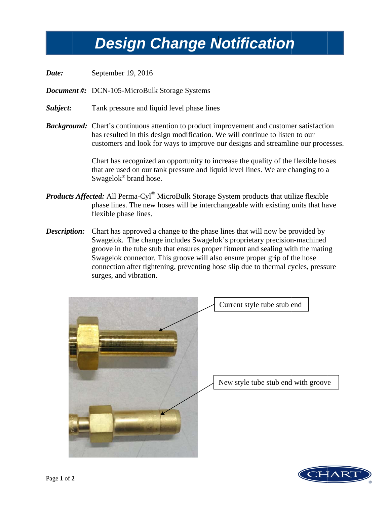## **Design Change Notification**

- Date: September 19, 2016
- **Document #:** DCN-105-MicroBulk Storage Systems
- Subject: Tank pressure and liquid level phase lines
- **Background:** Chart's continuous attention to product improvement and customer satisfaction has resulted in this design modification. We will continue to listen to our customers and look for ways to improve our designs and streamline our processes.

Chart has recognized an opportunity to increase the quality of the flexible hoses that are used on our tank pressure and liquid level lines. We are changing to a Swagelok® brand hose.

- **Products Affected:** All Perma-Cyl<sup>®</sup> MicroBulk Storage System products that utilize flexible phase lines. The new hoses will be interchangeable with existing units that have flexible phase lines.
- Chart has approved a change to the phase lines that will now be provided by Description: Swagelok. The change includes Swagelok's proprietary precision-machined groove in the tube stub that ensures proper fitment and sealing with the mating Swagelok connector. This groove will also ensure proper grip of the hose connection after tightening, preventing hose slip due to thermal cycles, pressure surges, and vibration.